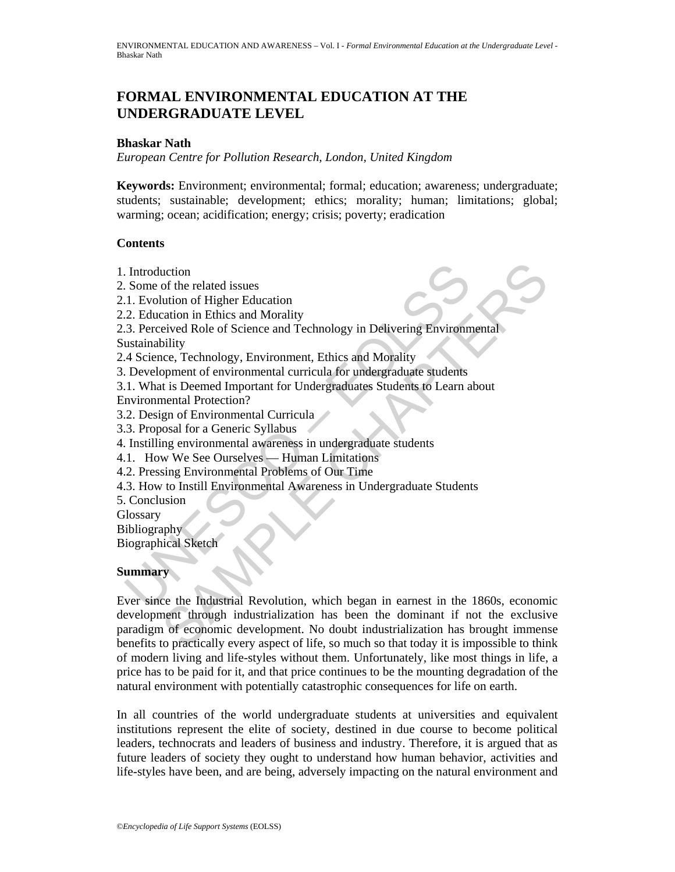# **FORMAL ENVIRONMENTAL EDUCATION AT THE UNDERGRADUATE LEVEL**

#### **Bhaskar Nath**

*European Centre for Pollution Research, London, United Kingdom* 

**Keywords:** Environment; environmental; formal; education; awareness; undergraduate; students; sustainable; development; ethics; morality; human; limitations; global; warming; ocean; acidification; energy; crisis; poverty; eradication

#### **Contents**

- 1. Introduction
- 2. Some of the related issues
- 2.1. Evolution of Higher Education
- 2.2. Education in Ethics and Morality
- Introduction<br>
1. Evolution of Higher Education<br>
1. Evolution of Higher Education<br>
2. Education in Ethics and Morality<br>
3. Perceived Role of Science and Technology in Delivering Environm<br>
1.3. Perceived Role of Science and 2.3. Perceived Role of Science and Technology in Delivering Environmental Sustainability
- 2.4 Science, Technology, Environment, Ethics and Morality
- 3. Development of environmental curricula for undergraduate students
- 3.1. What is Deemed Important for Undergraduates Students to Learn about
- Environmental Protection?
- 3.2. Design of Environmental Curricula
- 3.3. Proposal for a Generic Syllabus
- 4. Instilling environmental awareness in undergraduate students
- 4.1. How We See Ourselves Human Limitations
- 4.2. Pressing Environmental Problems of Our Time
- 4.3. How to Instill Environmental Awareness in Undergraduate Students
- 5. Conclusion
- **Glossary**

Bibliography

Biographical Sketch

#### **Summary**

notion<br>
of the related issues<br>
unition of Higher Education<br>
intions and Morality<br>
eived Role of Science and Technology in Delivering Environmental<br>
intitistic eived Role of Science and Technology in Delivering Environmenta Ever since the Industrial Revolution, which began in earnest in the 1860s, economic development through industrialization has been the dominant if not the exclusive paradigm of economic development. No doubt industrialization has brought immense benefits to practically every aspect of life, so much so that today it is impossible to think of modern living and life-styles without them. Unfortunately, like most things in life, a price has to be paid for it, and that price continues to be the mounting degradation of the natural environment with potentially catastrophic consequences for life on earth.

In all countries of the world undergraduate students at universities and equivalent institutions represent the elite of society, destined in due course to become political leaders, technocrats and leaders of business and industry. Therefore, it is argued that as future leaders of society they ought to understand how human behavior, activities and life-styles have been, and are being, adversely impacting on the natural environment and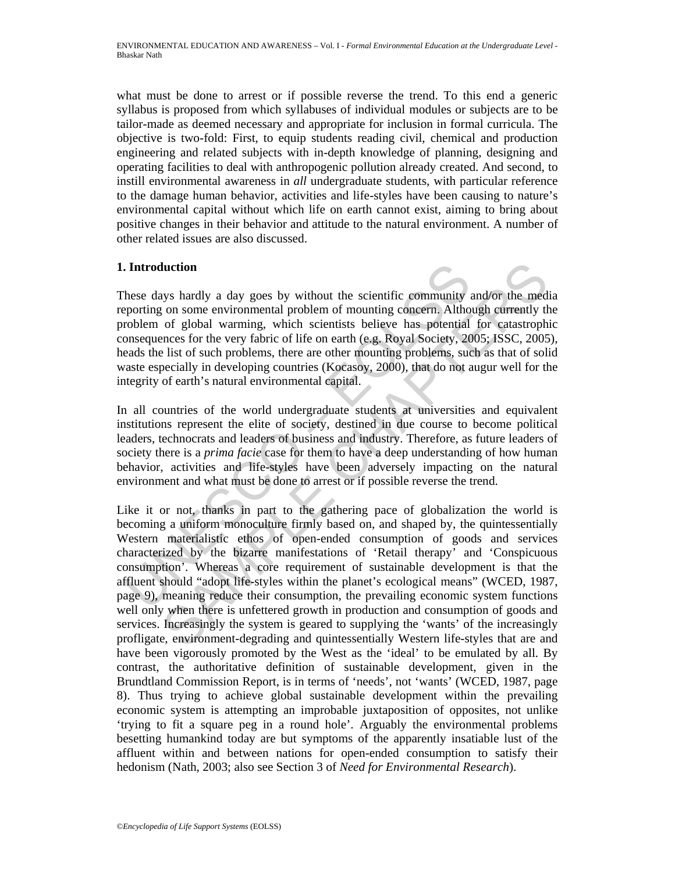what must be done to arrest or if possible reverse the trend. To this end a generic syllabus is proposed from which syllabuses of individual modules or subjects are to be tailor-made as deemed necessary and appropriate for inclusion in formal curricula. The objective is two-fold: First, to equip students reading civil, chemical and production engineering and related subjects with in-depth knowledge of planning, designing and operating facilities to deal with anthropogenic pollution already created. And second, to instill environmental awareness in *all* undergraduate students, with particular reference to the damage human behavior, activities and life-styles have been causing to nature's environmental capital without which life on earth cannot exist, aiming to bring about positive changes in their behavior and attitude to the natural environment. A number of other related issues are also discussed.

## **1. Introduction**

These days hardly a day goes by without the scientific community and/or the media reporting on some environmental problem of mounting concern. Although currently the problem of global warming, which scientists believe has potential for catastrophic consequences for the very fabric of life on earth (e.g. Royal Society, 2005; ISSC, 2005), heads the list of such problems, there are other mounting problems, such as that of solid waste especially in developing countries (Kocasoy, 2000), that do not augur well for the integrity of earth's natural environmental capital.

In all countries of the world undergraduate students at universities and equivalent institutions represent the elite of society, destined in due course to become political leaders, technocrats and leaders of business and industry. Therefore, as future leaders of society there is a *prima facie* case for them to have a deep understanding of how human behavior, activities and life-styles have been adversely impacting on the natural environment and what must be done to arrest or if possible reverse the trend.

**Introduction**<br>
hese days hardly a day goes by without the scientific community<br>
reporting on some environmental problem of mounting concern. Altho<br>
roblem of global warming, which scientists believe has potential<br>
onsequ **luction**<br>
and a day goes by without the scientific community and/or the med<br>
on some environmental problem of mounting concern. Although currently th<br>
of global warming, which scientists believe has potential for catastro Like it or not, thanks in part to the gathering pace of globalization the world is becoming a uniform monoculture firmly based on, and shaped by, the quintessentially Western materialistic ethos of open-ended consumption of goods and services characterized by the bizarre manifestations of 'Retail therapy' and 'Conspicuous consumption'. Whereas a core requirement of sustainable development is that the affluent should "adopt life-styles within the planet's ecological means" (WCED, 1987, page 9), meaning reduce their consumption, the prevailing economic system functions well only when there is unfettered growth in production and consumption of goods and services. Increasingly the system is geared to supplying the 'wants' of the increasingly profligate, environment-degrading and quintessentially Western life-styles that are and have been vigorously promoted by the West as the 'ideal' to be emulated by all. By contrast, the authoritative definition of sustainable development, given in the Brundtland Commission Report, is in terms of 'needs', not 'wants' (WCED, 1987, page 8). Thus trying to achieve global sustainable development within the prevailing economic system is attempting an improbable juxtaposition of opposites, not unlike 'trying to fit a square peg in a round hole'. Arguably the environmental problems besetting humankind today are but symptoms of the apparently insatiable lust of the affluent within and between nations for open-ended consumption to satisfy their hedonism (Nath, 2003; also see Section 3 of *Need for Environmental Research*).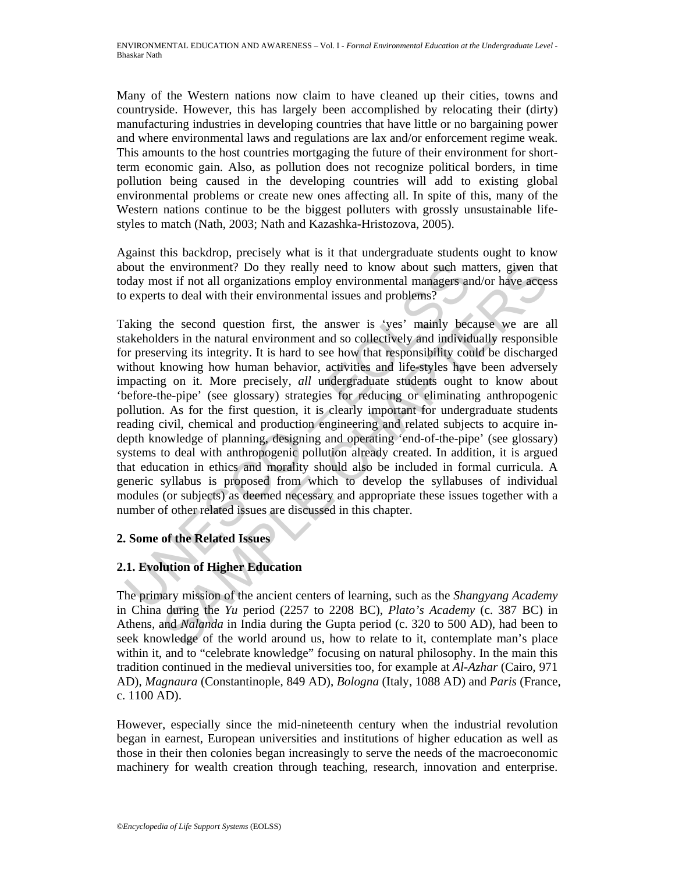Many of the Western nations now claim to have cleaned up their cities, towns and countryside. However, this has largely been accomplished by relocating their (dirty) manufacturing industries in developing countries that have little or no bargaining power and where environmental laws and regulations are lax and/or enforcement regime weak. This amounts to the host countries mortgaging the future of their environment for shortterm economic gain. Also, as pollution does not recognize political borders, in time pollution being caused in the developing countries will add to existing global environmental problems or create new ones affecting all. In spite of this, many of the Western nations continue to be the biggest polluters with grossly unsustainable lifestyles to match (Nath, 2003; Nath and Kazashka-Hristozova, 2005).

Against this backdrop, precisely what is it that undergraduate students ought to know about the environment? Do they really need to know about such matters, given that today most if not all organizations employ environmental managers and/or have access to experts to deal with their environmental issues and problems?

bout the environment? Do they really need to know about such may<br>day most if not all organizations employ environmental managers are experts to deal with their environmental issues and problems?<br>aking the second question f is not all organizations emply need to know about such matters, given that is it not all organizations emply environmental managers and/or have access to deal with their environmental issues and problems?<br>
to deal with the Taking the second question first, the answer is 'yes' mainly because we are all stakeholders in the natural environment and so collectively and individually responsible for preserving its integrity. It is hard to see how that responsibility could be discharged without knowing how human behavior, activities and life-styles have been adversely impacting on it. More precisely, *all* undergraduate students ought to know about 'before-the-pipe' (see glossary) strategies for reducing or eliminating anthropogenic pollution. As for the first question, it is clearly important for undergraduate students reading civil, chemical and production engineering and related subjects to acquire indepth knowledge of planning, designing and operating 'end-of-the-pipe' (see glossary) systems to deal with anthropogenic pollution already created. In addition, it is argued that education in ethics and morality should also be included in formal curricula. A generic syllabus is proposed from which to develop the syllabuses of individual modules (or subjects) as deemed necessary and appropriate these issues together with a number of other related issues are discussed in this chapter.

## **2. Some of the Related Issues**

## **2.1. Evolution of Higher Education**

The primary mission of the ancient centers of learning, such as the *Shangyang Academy* in China during the *Yu* period (2257 to 2208 BC), *Plato's Academy* (c. 387 BC) in Athens, and *Nalanda* in India during the Gupta period (c. 320 to 500 AD), had been to seek knowledge of the world around us, how to relate to it, contemplate man's place within it, and to "celebrate knowledge" focusing on natural philosophy. In the main this tradition continued in the medieval universities too, for example at *Al-Azhar* (Cairo, 971 AD), *Magnaura* (Constantinople, 849 AD), *Bologna* (Italy, 1088 AD) and *Paris* (France, c. 1100 AD).

However, especially since the mid-nineteenth century when the industrial revolution began in earnest, European universities and institutions of higher education as well as those in their then colonies began increasingly to serve the needs of the macroeconomic machinery for wealth creation through teaching, research, innovation and enterprise.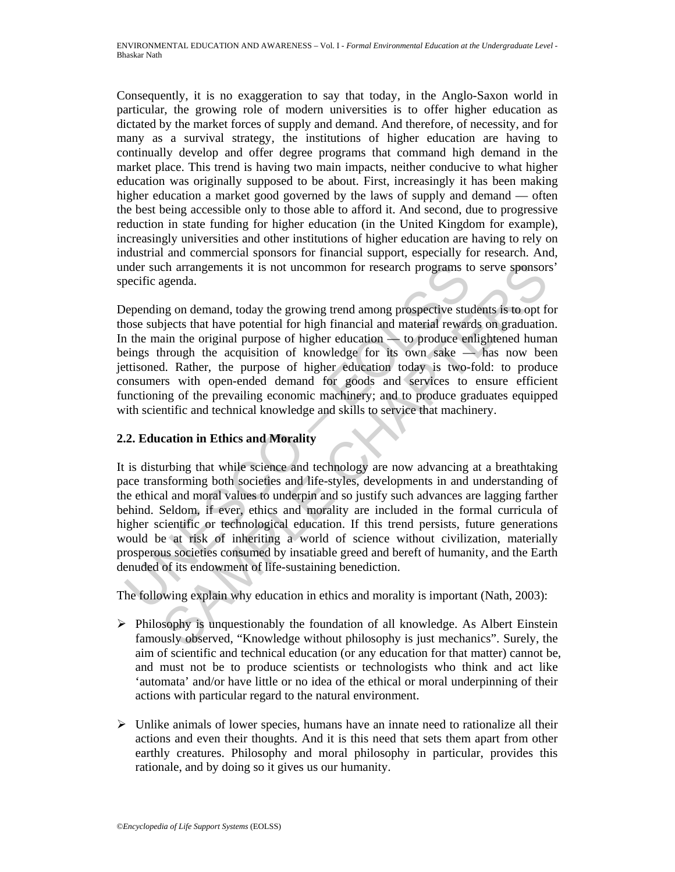Consequently, it is no exaggeration to say that today, in the Anglo-Saxon world in particular, the growing role of modern universities is to offer higher education as dictated by the market forces of supply and demand. And therefore, of necessity, and for many as a survival strategy, the institutions of higher education are having to continually develop and offer degree programs that command high demand in the market place. This trend is having two main impacts, neither conducive to what higher education was originally supposed to be about. First, increasingly it has been making higher education a market good governed by the laws of supply and demand — often the best being accessible only to those able to afford it. And second, due to progressive reduction in state funding for higher education (in the United Kingdom for example), increasingly universities and other institutions of higher education are having to rely on industrial and commercial sponsors for financial support, especially for research. And, under such arrangements it is not uncommon for research programs to serve sponsors' specific agenda.

molent such arrangements it is not uncommon for research programs to<br>eccific agenda.<br>epending on demand, today the growing trend among prospective stuces<br>where subjects that have potential for high financial and material r charangements it is not uncommon for research programs to serve sponsors<br>agenda.<br>In the amound, today the growing trend among prospective students is to opt for<br>eignicas that have potential for high financial and material Depending on demand, today the growing trend among prospective students is to opt for those subjects that have potential for high financial and material rewards on graduation. In the main the original purpose of higher education  $-$  to produce enlightened human beings through the acquisition of knowledge for its own sake  $\overline{\phantom{a}}$  has now been jettisoned. Rather, the purpose of higher education today is two-fold: to produce consumers with open-ended demand for goods and services to ensure efficient functioning of the prevailing economic machinery; and to produce graduates equipped with scientific and technical knowledge and skills to service that machinery.

## **2.2. Education in Ethics and Morality**

It is disturbing that while science and technology are now advancing at a breathtaking pace transforming both societies and life-styles, developments in and understanding of the ethical and moral values to underpin and so justify such advances are lagging farther behind. Seldom, if ever, ethics and morality are included in the formal curricula of higher scientific or technological education. If this trend persists, future generations would be at risk of inheriting a world of science without civilization, materially prosperous societies consumed by insatiable greed and bereft of humanity, and the Earth denuded of its endowment of life-sustaining benediction.

The following explain why education in ethics and morality is important (Nath, 2003):

- $\triangleright$  Philosophy is unquestionably the foundation of all knowledge. As Albert Einstein famously observed, "Knowledge without philosophy is just mechanics". Surely, the aim of scientific and technical education (or any education for that matter) cannot be, and must not be to produce scientists or technologists who think and act like 'automata' and/or have little or no idea of the ethical or moral underpinning of their actions with particular regard to the natural environment.
- $\triangleright$  Unlike animals of lower species, humans have an innate need to rationalize all their actions and even their thoughts. And it is this need that sets them apart from other earthly creatures. Philosophy and moral philosophy in particular, provides this rationale, and by doing so it gives us our humanity.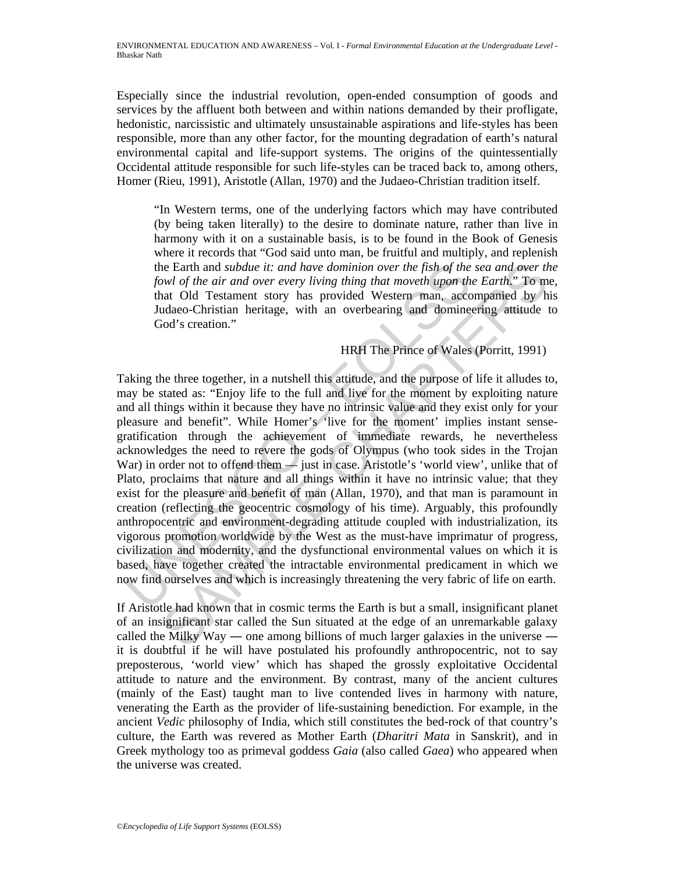Especially since the industrial revolution, open-ended consumption of goods and services by the affluent both between and within nations demanded by their profligate, hedonistic, narcissistic and ultimately unsustainable aspirations and life-styles has been responsible, more than any other factor, for the mounting degradation of earth's natural environmental capital and life-support systems. The origins of the quintessentially Occidental attitude responsible for such life-styles can be traced back to, among others, Homer (Rieu, 1991), Aristotle (Allan, 1970) and the Judaeo-Christian tradition itself.

"In Western terms, one of the underlying factors which may have contributed (by being taken literally) to the desire to dominate nature, rather than live in harmony with it on a sustainable basis, is to be found in the Book of Genesis where it records that "God said unto man, be fruitful and multiply, and replenish the Earth and *subdue it: and have dominion over the fish of the sea and over the fowl of the air and over every living thing that moveth upon the Earth*." To me, that Old Testament story has provided Western man, accompanied by his Judaeo-Christian heritage, with an overbearing and domineering attitude to God's creation."

#### HRH The Prince of Wales (Porritt, 1991)

the Earth and *subdue it: and have dominion over the fish of the*<br>fowl of the air and over every living thing that moveth upon the<br>that Old Testament story has provided Western man, acco<br>Judaeo-Christian heritage, with an is example in: and have dominion over the fish of the sea and over the momentum of the air and over every living thin moveth upon the Earthi," To mean over the same of the air and over every living that moveth upon the Ea Taking the three together, in a nutshell this attitude, and the purpose of life it alludes to, may be stated as: "Enjoy life to the full and live for the moment by exploiting nature and all things within it because they have no intrinsic value and they exist only for your pleasure and benefit". While Homer's 'live for the moment' implies instant sensegratification through the achievement of immediate rewards, he nevertheless acknowledges the need to revere the gods of Olympus (who took sides in the Trojan War) in order not to offend them — just in case. Aristotle's 'world view', unlike that of Plato, proclaims that nature and all things within it have no intrinsic value; that they exist for the pleasure and benefit of man (Allan, 1970), and that man is paramount in creation (reflecting the geocentric cosmology of his time). Arguably, this profoundly anthropocentric and environment-degrading attitude coupled with industrialization, its vigorous promotion worldwide by the West as the must-have imprimatur of progress, civilization and modernity, and the dysfunctional environmental values on which it is based, have together created the intractable environmental predicament in which we now find ourselves and which is increasingly threatening the very fabric of life on earth.

If Aristotle had known that in cosmic terms the Earth is but a small, insignificant planet of an insignificant star called the Sun situated at the edge of an unremarkable galaxy called the Milky Way — one among billions of much larger galaxies in the universe it is doubtful if he will have postulated his profoundly anthropocentric, not to say preposterous, 'world view' which has shaped the grossly exploitative Occidental attitude to nature and the environment. By contrast, many of the ancient cultures (mainly of the East) taught man to live contended lives in harmony with nature, venerating the Earth as the provider of life-sustaining benediction. For example, in the ancient *Vedic* philosophy of India, which still constitutes the bed-rock of that country's culture, the Earth was revered as Mother Earth (*Dharitri Mata* in Sanskrit), and in Greek mythology too as primeval goddess *Gaia* (also called *Gaea*) who appeared when the universe was created.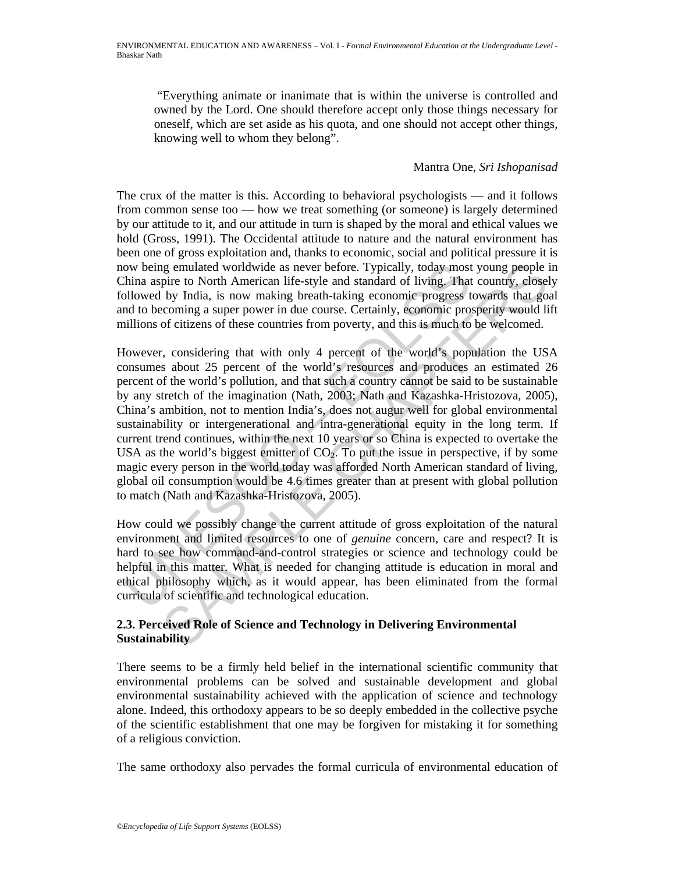"Everything animate or inanimate that is within the universe is controlled and owned by the Lord. One should therefore accept only those things necessary for oneself, which are set aside as his quota, and one should not accept other things, knowing well to whom they belong".

### Mantra One, *Sri Ishopanisad*

The crux of the matter is this. According to behavioral psychologists — and it follows from common sense too — how we treat something (or someone) is largely determined by our attitude to it, and our attitude in turn is shaped by the moral and ethical values we hold (Gross, 1991). The Occidental attitude to nature and the natural environment has been one of gross exploitation and, thanks to economic, social and political pressure it is now being emulated worldwide as never before. Typically, today most young people in China aspire to North American life-style and standard of living. That country, closely followed by India, is now making breath-taking economic progress towards that goal and to becoming a super power in due course. Certainly, economic prosperity would lift millions of citizens of these countries from poverty, and this is much to be welcomed.

by being emulated worldwide as never before. Typically, today most<br>hina aspire to North American life-style and standard of living. That<br>allowed by India, is now making breath-taking economic progress t<br>old to becoming a s ig emulated worldwide as never before. Typically, today most young people in<br>the to North American life-style and standard of living. That country, closed<br>by India, is now making breath-taking economic progress towards th However, considering that with only 4 percent of the world's population the USA consumes about 25 percent of the world's resources and produces an estimated 26 percent of the world's pollution, and that such a country cannot be said to be sustainable by any stretch of the imagination (Nath, 2003; Nath and Kazashka-Hristozova, 2005), China's ambition, not to mention India's, does not augur well for global environmental sustainability or intergenerational and intra-generational equity in the long term. If current trend continues, within the next 10 years or so China is expected to overtake the USA as the world's biggest emitter of  $CO<sub>2</sub>$ . To put the issue in perspective, if by some magic every person in the world today was afforded North American standard of living, global oil consumption would be 4.6 times greater than at present with global pollution to match (Nath and Kazashka-Hristozova, 2005).

How could we possibly change the current attitude of gross exploitation of the natural environment and limited resources to one of *genuine* concern, care and respect? It is hard to see how command-and-control strategies or science and technology could be helpful in this matter. What is needed for changing attitude is education in moral and ethical philosophy which, as it would appear, has been eliminated from the formal curricula of scientific and technological education.

#### **2.3. Perceived Role of Science and Technology in Delivering Environmental Sustainability**

There seems to be a firmly held belief in the international scientific community that environmental problems can be solved and sustainable development and global environmental sustainability achieved with the application of science and technology alone. Indeed, this orthodoxy appears to be so deeply embedded in the collective psyche of the scientific establishment that one may be forgiven for mistaking it for something of a religious conviction.

The same orthodoxy also pervades the formal curricula of environmental education of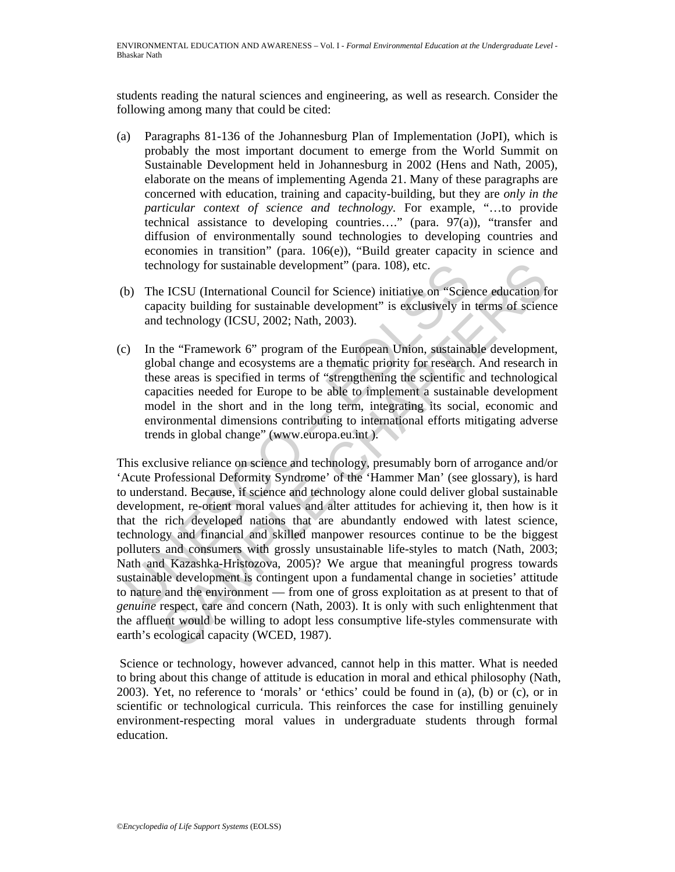students reading the natural sciences and engineering, as well as research. Consider the following among many that could be cited:

- (a) Paragraphs 81-136 of the Johannesburg Plan of Implementation (JoPI), which is probably the most important document to emerge from the World Summit on Sustainable Development held in Johannesburg in 2002 (Hens and Nath, 2005), elaborate on the means of implementing Agenda 21. Many of these paragraphs are concerned with education, training and capacity-building, but they are *only in the particular context of science and technology*. For example, "…to provide technical assistance to developing countries…." (para. 97(a)), "transfer and diffusion of environmentally sound technologies to developing countries and economies in transition" (para. 106(e)), "Build greater capacity in science and technology for sustainable development" (para. 108), etc.
- (b) The ICSU (International Council for Science) initiative on "Science education for capacity building for sustainable development" is exclusively in terms of science and technology (ICSU, 2002; Nath, 2003).
- (c) In the "Framework 6" program of the European Union, sustainable development, global change and ecosystems are a thematic priority for research. And research in these areas is specified in terms of "strengthening the scientific and technological capacities needed for Europe to be able to implement a sustainable development model in the short and in the long term, integrating its social, economic and environmental dimensions contributing to international efforts mitigating adverse trends in global change" (www.europa.eu.int ).

technology for sustainable development" (para. 108), etc.<br>
b) The ICSU (International Council for Science) initiative on "Sciencapacity building for sustainable development" is exclusively in<br>
and technology (ICSU, 2002; N hology for sustainable development" (para. 108), etc.<br>
EICSU (International Council for Science) initiative on "Science education fracity building for sustainable development" is exclusively in terms of science<br>
technology This exclusive reliance on science and technology, presumably born of arrogance and/or 'Acute Professional Deformity Syndrome' of the 'Hammer Man' (see glossary), is hard to understand. Because, if science and technology alone could deliver global sustainable development, re-orient moral values and alter attitudes for achieving it, then how is it that the rich developed nations that are abundantly endowed with latest science, technology and financial and skilled manpower resources continue to be the biggest polluters and consumers with grossly unsustainable life-styles to match (Nath, 2003; Nath and Kazashka-Hristozova, 2005)? We argue that meaningful progress towards sustainable development is contingent upon a fundamental change in societies' attitude to nature and the environment — from one of gross exploitation as at present to that of *genuine* respect, care and concern (Nath, 2003). It is only with such enlightenment that the affluent would be willing to adopt less consumptive life-styles commensurate with earth's ecological capacity (WCED, 1987).

 Science or technology, however advanced, cannot help in this matter. What is needed to bring about this change of attitude is education in moral and ethical philosophy (Nath, 2003). Yet, no reference to 'morals' or 'ethics' could be found in (a), (b) or (c), or in scientific or technological curricula. This reinforces the case for instilling genuinely environment-respecting moral values in undergraduate students through formal education.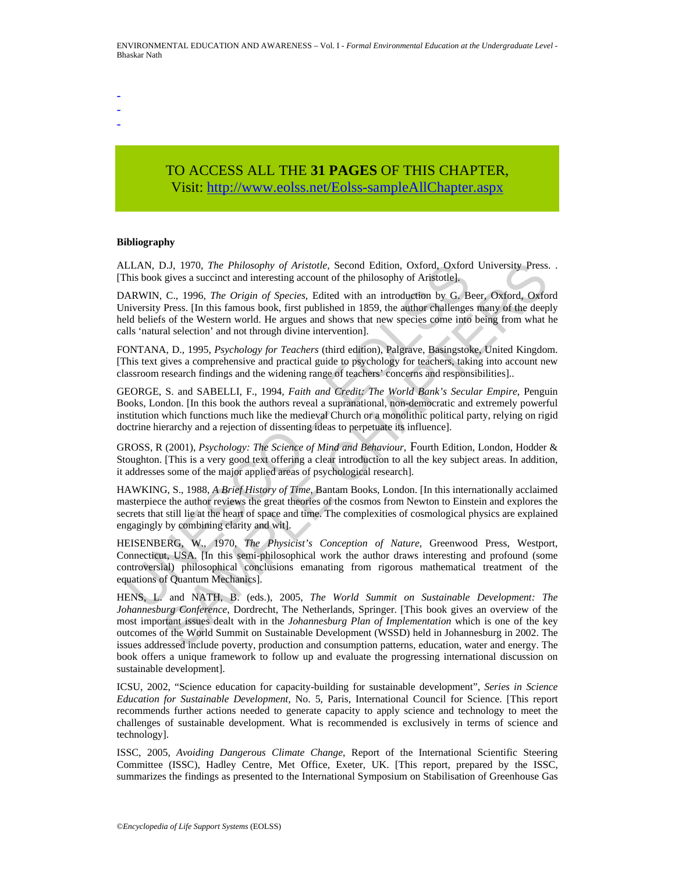- - -

# TO ACCESS ALL THE **31 PAGES** OF THIS CHAPTER, Visit[: http://www.eolss.net/Eolss-sampleAllChapter.aspx](https://www.eolss.net/ebooklib/sc_cart.aspx?File=E4-16-02)

#### **Bibliography**

ALLAN, D.J, 1970, *The Philosophy of Aristotle*, Second Edition, Oxford, Oxford University Press. . [This book gives a succinct and interesting account of the philosophy of Aristotle].

DARWIN, C., 1996, *The Origin of Species*, Edited with an introduction by G. Beer, Oxford, Oxford University Press. [In this famous book, first published in 1859, the author challenges many of the deeply held beliefs of the Western world. He argues and shows that new species come into being from what he calls 'natural selection' and not through divine intervention].

FONTANA, D., 1995, *Psychology for Teachers* (third edition), Palgrave, Basingstoke, United Kingdom. [This text gives a comprehensive and practical guide to psychology for teachers, taking into account new classroom research findings and the widening range of teachers' concerns and responsibilities]..

GEORGE, S. and SABELLI, F., 1994, *Faith and Credit: The World Bank's Secular Empire*, Penguin Books, London. [In this book the authors reveal a supranational, non-democratic and extremely powerful institution which functions much like the medieval Church or a monolithic political party, relying on rigid doctrine hierarchy and a rejection of dissenting ideas to perpetuate its influence].

GROSS, R (2001), *Psychology: The Science of Mind and Behaviour*, Fourth Edition, London, Hodder & Stoughton. [This is a very good text offering a clear introduction to all the key subject areas. In addition, it addresses some of the major applied areas of psychological research].

HAWKING, S., 1988, *A Brief History of Time*, Bantam Books, London. [In this internationally acclaimed masterpiece the author reviews the great theories of the cosmos from Newton to Einstein and explores the secrets that still lie at the heart of space and time. The complexities of cosmological physics are explained engagingly by combining clarity and wit].

LLAN, D.J. 1970, *The Philosophy of Aristotle*, Second Edition, Oxford Oxford<br>This book gives a succinet and interesting account of the philosophy of Aristotle].<br>ARWIN, C., 1996, *The Origin of Species*, Edited with an int HEISENBERG, W., 1970, *The Physicist's Conception of Nature*, Greenwood Press, Westport, Connecticut, USA. [In this semi-philosophical work the author draws interesting and profound (some controversial) philosophical conclusions emanating from rigorous mathematical treatment of the equations of Quantum Mechanics].

D.J. 1970. The *Philosophy of Aristotle*, Second Edition, Oxford, Oxford University Press.<br>
gives a succire and interesting acount of the philosophy of Aristotle].<br>
Eyes a succire and interesting acount of the philosophy HENS, L. and NATH, B. (eds.), 2005, *The World Summit on Sustainable Development: The Johannesburg Conference*, Dordrecht, The Netherlands, Springer. [This book gives an overview of the most important issues dealt with in the *Johannesburg Plan of Implementation* which is one of the key outcomes of the World Summit on Sustainable Development (WSSD) held in Johannesburg in 2002. The issues addressed include poverty, production and consumption patterns, education, water and energy. The book offers a unique framework to follow up and evaluate the progressing international discussion on sustainable development].

ICSU, 2002, "Science education for capacity-building for sustainable development", *Series in Science Education for Sustainable Development,* No. 5, Paris, International Council for Science. [This report recommends further actions needed to generate capacity to apply science and technology to meet the challenges of sustainable development. What is recommended is exclusively in terms of science and technology].

ISSC, 2005, *Avoiding Dangerous Climate Change*, Report of the International Scientific Steering Committee (ISSC), Hadley Centre, Met Office, Exeter, UK. [This report, prepared by the ISSC, summarizes the findings as presented to the International Symposium on Stabilisation of Greenhouse Gas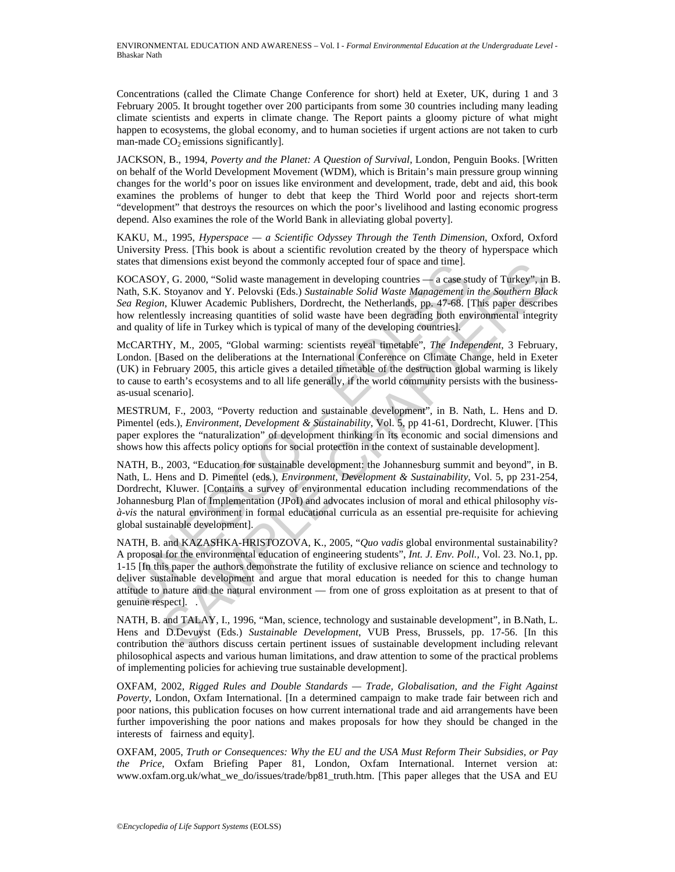Concentrations (called the Climate Change Conference for short) held at Exeter, UK, during 1 and 3 February 2005. It brought together over 200 participants from some 30 countries including many leading climate scientists and experts in climate change. The Report paints a gloomy picture of what might happen to ecosystems, the global economy, and to human societies if urgent actions are not taken to curb man-made  $CO<sub>2</sub>$  emissions significantly].

JACKSON, B., 1994, *Poverty and the Planet: A Question of Survival*, London, Penguin Books. [Written on behalf of the World Development Movement (WDM), which is Britain's main pressure group winning changes for the world's poor on issues like environment and development, trade, debt and aid, this book examines the problems of hunger to debt that keep the Third World poor and rejects short-term "development" that destroys the resources on which the poor's livelihood and lasting economic progress depend. Also examines the role of the World Bank in alleviating global poverty].

KAKU, M., 1995, *Hyperspace — a Scientific Odyssey Through the Tenth Dimension*, Oxford, Oxford University Press. [This book is about a scientific revolution created by the theory of hyperspace which states that dimensions exist beyond the commonly accepted four of space and time].

KOCASOY, G. 2000, "Solid waste management in developing countries — a case study of Turkey", in B. Nath, S.K. Stoyanov and Y. Pelovski (Eds.) *Sustainable Solid Waste Management in the Southern Black Sea Region*, Kluwer Academic Publishers, Dordrecht, the Netherlands, pp. 47-68. [This paper describes how relentlessly increasing quantities of solid waste have been degrading both environmental integrity and quality of life in Turkey which is typical of many of the developing countries].

McCARTHY, M., 2005, "Global warming: scientists reveal timetable", *The Independent*, 3 February, London. [Based on the deliberations at the International Conference on Climate Change, held in Exeter (UK) in February 2005, this article gives a detailed timetable of the destruction global warming is likely to cause to earth's ecosystems and to all life generally, if the world community persists with the businessas-usual scenario].

MESTRUM, F., 2003, "Poverty reduction and sustainable development", in B. Nath, L. Hens and D. Pimentel (eds.), *Environment, Development & Sustainability*, Vol. 5, pp 41-61, Dordrecht, Kluwer. [This paper explores the "naturalization" of development thinking in its economic and social dimensions and shows how this affects policy options for social protection in the context of sustainable development].

NATH, B., 2003, "Education for sustainable development: the Johannesburg summit and beyond", in B. Nath, L. Hens and D. Pimentel (eds.), *Environment, Development & Sustainability*, Vol. 5, pp 231-254, Dordrecht, Kluwer. [Contains a survey of environmental education including recommendations of the Johannesburg Plan of Implementation (JPoI) and advocates inclusion of moral and ethical philosophy *visà-vis* the natural environment in formal educational curricula as an essential pre-requisite for achieving global sustainable development].

ates una unnersions exist beyond the commonly accepted rout of space and time].<br>OCASOY, G. 2000, "Solid waste management in developing countries — a case still<br>ath, S.K. Stoyanov and Y. Pelovski (Eds.) Sustainable Solid W dimensions exist beyond the commonly accepted four of space and time]<br>V, G. 2000, "Soid waste management in developing countries—a cases study of Turkey", in<br>Stoyanov and Y. Pelovski (Eds.) Sustainable Soil waste Manageme NATH, B. and KAZASHKA-HRISTOZOVA, K., 2005, "*Quo vadis* global environmental sustainability? A proposal for the environmental education of engineering students", *Int. J. Env. Poll.,* Vol. 23. No.1, pp. 1-15 [In this paper the authors demonstrate the futility of exclusive reliance on science and technology to deliver sustainable development and argue that moral education is needed for this to change human attitude to nature and the natural environment — from one of gross exploitation as at present to that of genuine respect]. .

NATH, B. and TALAY, I., 1996, "Man, science, technology and sustainable development", in B.Nath, L. Hens and D.Devuyst (Eds.) *Sustainable Development*, VUB Press, Brussels, pp. 17-56. [In this contribution the authors discuss certain pertinent issues of sustainable development including relevant philosophical aspects and various human limitations, and draw attention to some of the practical problems of implementing policies for achieving true sustainable development].

OXFAM, 2002, *Rigged Rules and Double Standards — Trade, Globalisation, and the Fight Against Poverty*, London, Oxfam International. [In a determined campaign to make trade fair between rich and poor nations, this publication focuses on how current international trade and aid arrangements have been further impoverishing the poor nations and makes proposals for how they should be changed in the interests of fairness and equity].

OXFAM, 2005, *Truth or Consequences: Why the EU and the USA Must Reform Their Subsidies, or Pay the Price*, Oxfam Briefing Paper 81, London, Oxfam International. Internet version at: www.oxfam.org.uk/what\_we\_do/issues/trade/bp81\_truth.htm. [This paper alleges that the USA and EU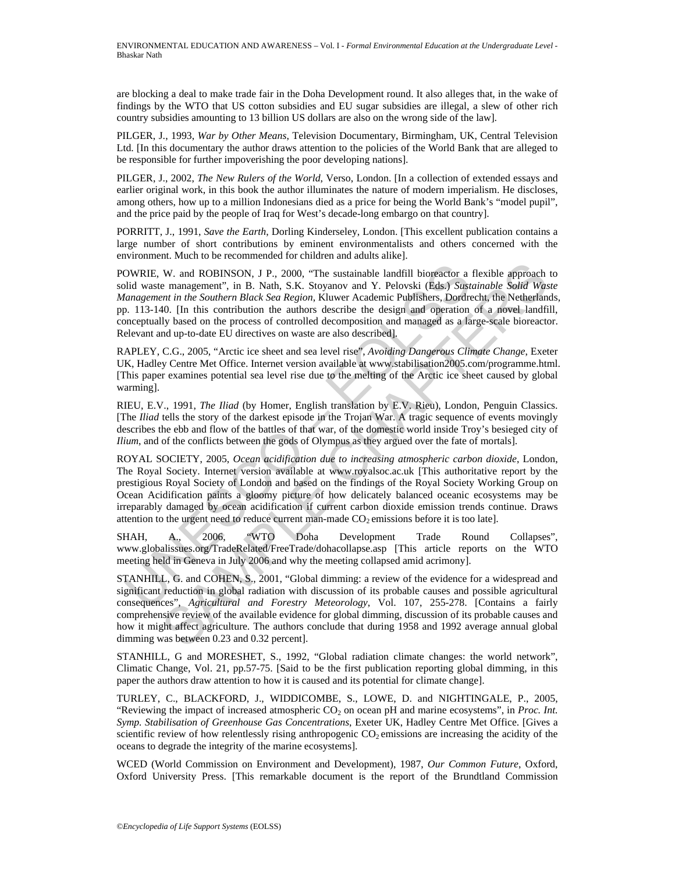are blocking a deal to make trade fair in the Doha Development round. It also alleges that, in the wake of findings by the WTO that US cotton subsidies and EU sugar subsidies are illegal, a slew of other rich country subsidies amounting to 13 billion US dollars are also on the wrong side of the law].

PILGER, J., 1993, *War by Other Means*, Television Documentary, Birmingham, UK, Central Television Ltd. [In this documentary the author draws attention to the policies of the World Bank that are alleged to be responsible for further impoverishing the poor developing nations].

PILGER, J., 2002, *The New Rulers of the World*, Verso, London. [In a collection of extended essays and earlier original work, in this book the author illuminates the nature of modern imperialism. He discloses, among others, how up to a million Indonesians died as a price for being the World Bank's "model pupil", and the price paid by the people of Iraq for West's decade-long embargo on that country].

PORRITT, J., 1991, *Save the Earth*, Dorling Kinderseley, London. [This excellent publication contains a large number of short contributions by eminent environmentalists and others concerned with the environment. Much to be recommended for children and adults alike].

POWRIE, W. and ROBINSON, J P., 2000, "The sustainable landfill bioreactor a flexible approach to solid waste management", in B. Nath, S.K. Stoyanov and Y. Pelovski (Eds.) *Sustainable Solid Waste Management in the Southern Black Sea Region*, Kluwer Academic Publishers, Dordrecht, the Netherlands, pp. 113-140. [In this contribution the authors describe the design and operation of a novel landfill, conceptually based on the process of controlled decomposition and managed as a large-scale bioreactor. Relevant and up-to-date EU directives on waste are also described].

RAPLEY, C.G., 2005, "Arctic ice sheet and sea level rise", *Avoiding Dangerous Climate Change*, Exeter UK, Hadley Centre Met Office. Internet version available at www.stabilisation2005.com/programme.html. [This paper examines potential sea level rise due to the melting of the Arctic ice sheet caused by global warming].

RIEU, E.V., 1991, *The Iliad* (by Homer, English translation by E.V. Rieu), London, Penguin Classics. [The *Iliad* tells the story of the darkest episode in the Trojan War. A tragic sequence of events movingly describes the ebb and flow of the battles of that war, of the domestic world inside Troy's besieged city of *Ilium*, and of the conflicts between the gods of Olympus as they argued over the fate of mortals].

OWRIE, W. and ROBINSON, J P., 2000, "The sustainable landfill bioreactor a<br>lid waste management", in B. Nath, S.K. Stoyanov and Y. Pelovski (Eds.) *Statteragement in the Southern Black Sea Region*, Kluver Academic Publishe W. and ROBINSON, J P., 2000, "The sustainable landfill bioreactor a flexible approach<br>
mannement", in B. Nah, S.K. Stoyanov and Y. Pelovski (Eds.) Sustainable Solid Was<br>
em inangement", in the Southern Black Sea Region, K ROYAL SOCIETY, 2005, *Ocean acidification due to increasing atmospheric carbon dioxide*, London, The Royal Society. Internet version available at www.royalsoc.ac.uk [This authoritative report by the prestigious Royal Society of London and based on the findings of the Royal Society Working Group on Ocean Acidification paints a gloomy picture of how delicately balanced oceanic ecosystems may be irreparably damaged by ocean acidification if current carbon dioxide emission trends continue. Draws attention to the urgent need to reduce current man-made  $CO<sub>2</sub>$  emissions before it is too late].

SHAH, A., 2006, "WTO Doha Development Trade Round Collapses", www.globalissues.org/TradeRelated/FreeTrade/dohacollapse.asp [This article reports on the WTO meeting held in Geneva in July 2006 and why the meeting collapsed amid acrimony].

STANHILL, G. and COHEN, S., 2001, "Global dimming: a review of the evidence for a widespread and significant reduction in global radiation with discussion of its probable causes and possible agricultural consequences", *Agricultural and Forestry Meteorology*, Vol. 107, 255-278. [Contains a fairly comprehensive review of the available evidence for global dimming, discussion of its probable causes and how it might affect agriculture. The authors conclude that during 1958 and 1992 average annual global dimming was between 0.23 and 0.32 percent].

STANHILL, G and MORESHET, S., 1992, "Global radiation climate changes: the world network", Climatic Change, Vol. 21, pp.57-75. [Said to be the first publication reporting global dimming, in this paper the authors draw attention to how it is caused and its potential for climate change].

TURLEY, C., BLACKFORD, J., WIDDICOMBE, S., LOWE, D. and NIGHTINGALE, P., 2005, "Reviewing the impact of increased atmospheric  $CO<sub>2</sub>$  on ocean pH and marine ecosystems", in *Proc. Int. Symp. Stabilisation of Greenhouse Gas Concentrations*, Exeter UK, Hadley Centre Met Office. [Gives a scientific review of how relentlessly rising anthropogenic  $CO<sub>2</sub>$  emissions are increasing the acidity of the oceans to degrade the integrity of the marine ecosystems].

WCED (World Commission on Environment and Development), 1987, *Our Common Future*, Oxford, Oxford University Press. [This remarkable document is the report of the Brundtland Commission